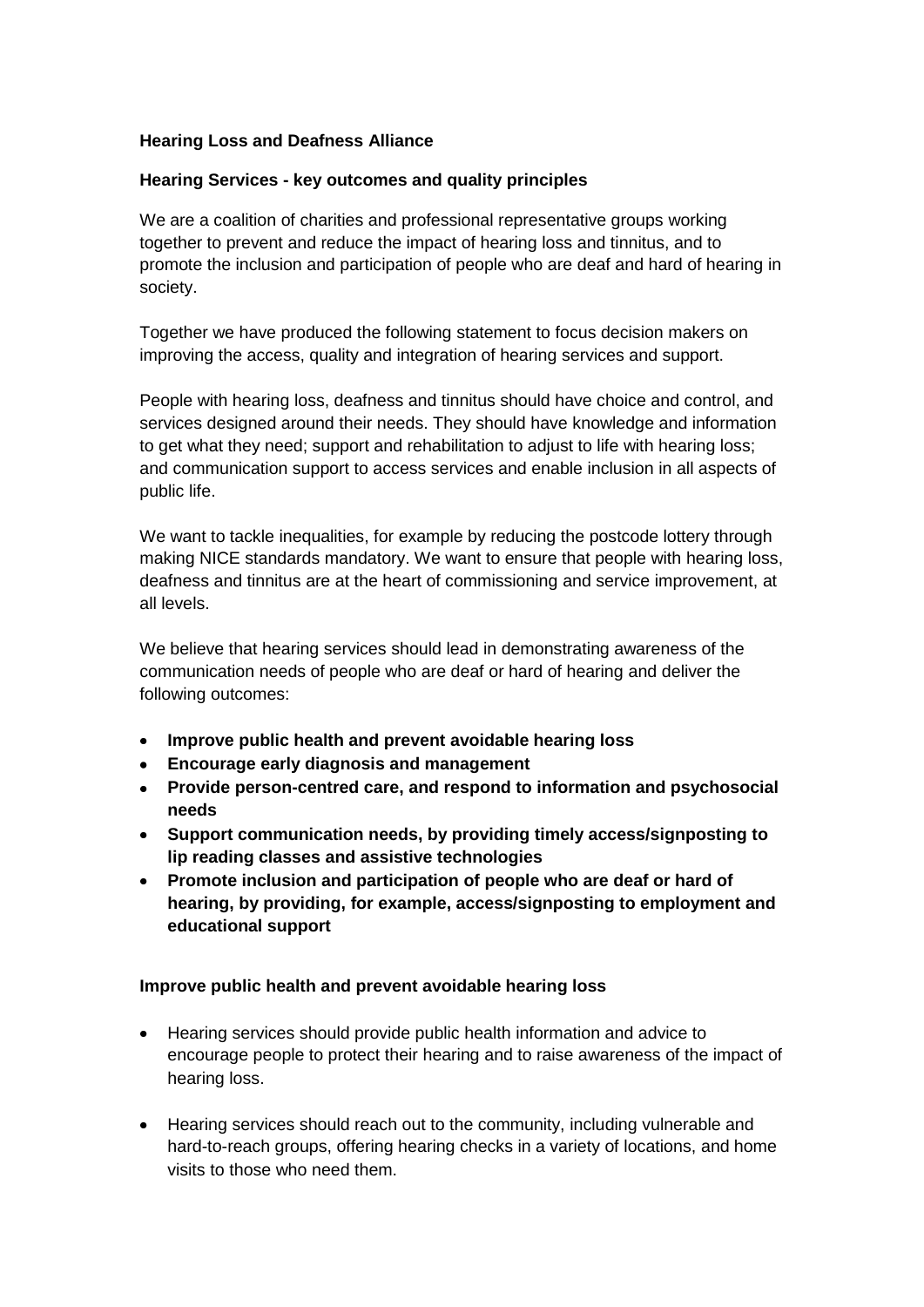### **Hearing Loss and Deafness Alliance**

#### **Hearing Services - key outcomes and quality principles**

We are a coalition of charities and professional representative groups working together to prevent and reduce the impact of hearing loss and tinnitus, and to promote the inclusion and participation of people who are deaf and hard of hearing in society.

Together we have produced the following statement to focus decision makers on improving the access, quality and integration of hearing services and support.

People with hearing loss, deafness and tinnitus should have choice and control, and services designed around their needs. They should have knowledge and information to get what they need; support and rehabilitation to adjust to life with hearing loss; and communication support to access services and enable inclusion in all aspects of public life.

We want to tackle inequalities, for example by reducing the postcode lottery through making NICE standards mandatory. We want to ensure that people with hearing loss, deafness and tinnitus are at the heart of commissioning and service improvement, at all levels.

We believe that hearing services should lead in demonstrating awareness of the communication needs of people who are deaf or hard of hearing and deliver the following outcomes:

- $\bullet$ **Improve public health and prevent avoidable hearing loss**
- **Encourage early diagnosis and management**
- **Provide person-centred care, and respond to information and psychosocial needs**
- **Support communication needs, by providing timely access/signposting to lip reading classes and assistive technologies**
- **Promote inclusion and participation of people who are deaf or hard of hearing, by providing, for example, access/signposting to employment and educational support**

#### **Improve public health and prevent avoidable hearing loss**

- Hearing services should provide public health information and advice to encourage people to protect their hearing and to raise awareness of the impact of hearing loss.
- Hearing services should reach out to the community, including vulnerable and hard-to-reach groups, offering hearing checks in a variety of locations, and home visits to those who need them.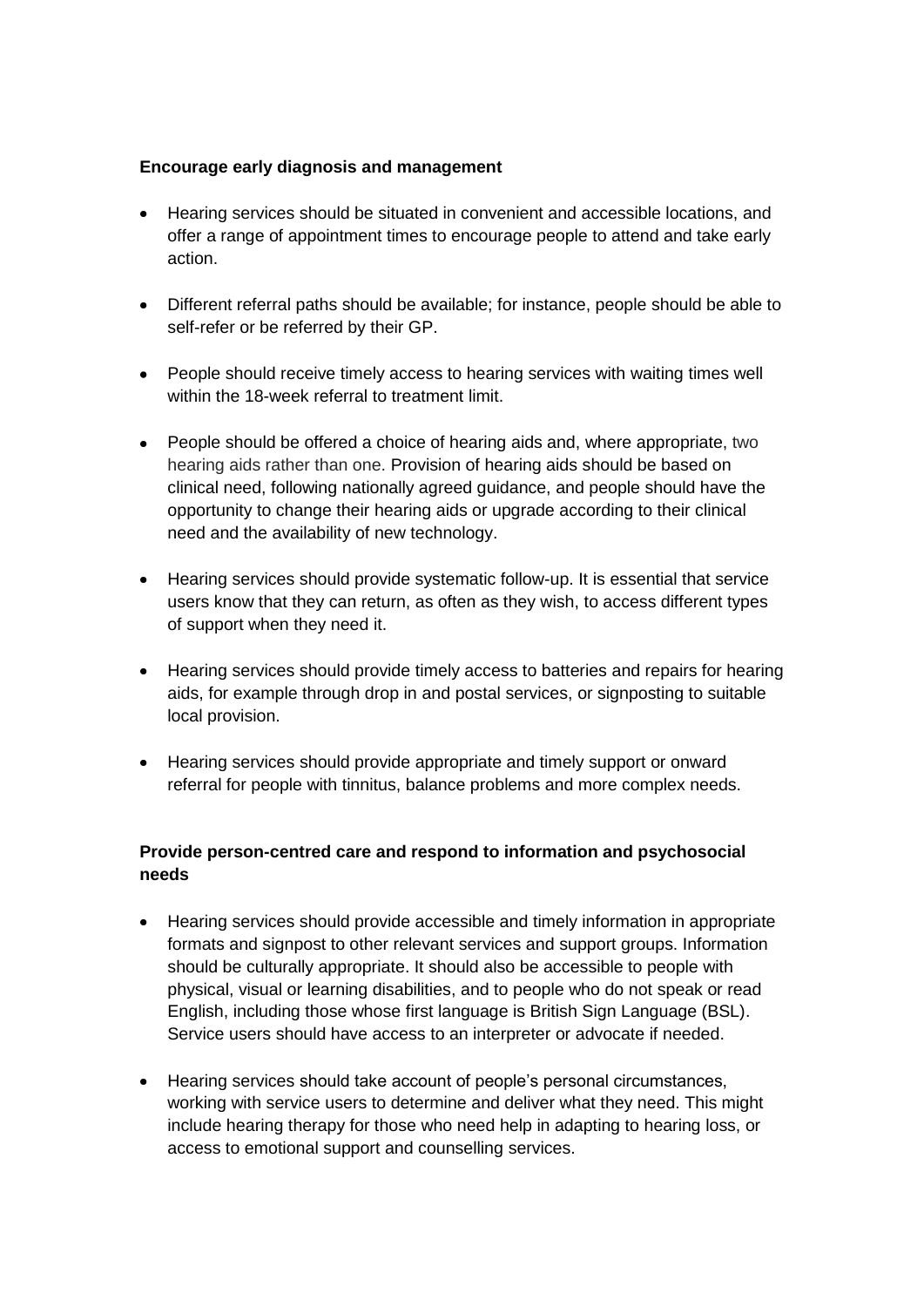#### **Encourage early diagnosis and management**

- Hearing services should be situated in convenient and accessible locations, and offer a range of appointment times to encourage people to attend and take early action.
- Different referral paths should be available; for instance, people should be able to self-refer or be referred by their GP.
- People should receive timely access to hearing services with waiting times well within the 18-week referral to treatment limit.
- People should be offered a choice of hearing aids and, where appropriate, two hearing aids rather than one. Provision of hearing aids should be based on clinical need, following nationally agreed guidance, and people should have the opportunity to change their hearing aids or upgrade according to their clinical need and the availability of new technology.
- Hearing services should provide systematic follow-up. It is essential that service users know that they can return, as often as they wish, to access different types of support when they need it.
- Hearing services should provide timely access to batteries and repairs for hearing aids, for example through drop in and postal services, or signposting to suitable local provision.
- Hearing services should provide appropriate and timely support or onward  $\bullet$ referral for people with tinnitus, balance problems and more complex needs.

# **Provide person-centred care and respond to information and psychosocial needs**

- Hearing services should provide accessible and timely information in appropriate  $\bullet$ formats and signpost to other relevant services and support groups. Information should be culturally appropriate. It should also be accessible to people with physical, visual or learning disabilities, and to people who do not speak or read English, including those whose first language is British Sign Language (BSL). Service users should have access to an interpreter or advocate if needed.
- Hearing services should take account of people's personal circumstances, working with service users to determine and deliver what they need. This might include hearing therapy for those who need help in adapting to hearing loss, or access to emotional support and counselling services.